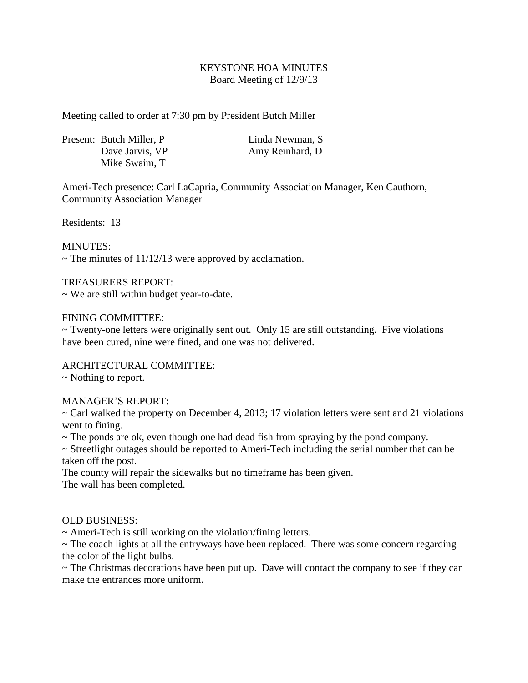## KEYSTONE HOA MINUTES Board Meeting of 12/9/13

Meeting called to order at 7:30 pm by President Butch Miller

|  | Present: Butch Miller, P. | Linda Newman, S  |
|--|---------------------------|------------------|
|  | Dave Jarvis, VP           | Amy Reinhard, D. |
|  | Mike Swaim, T             |                  |

Ameri-Tech presence: Carl LaCapria, Community Association Manager, Ken Cauthorn, Community Association Manager

Residents: 13

MINUTES:

 $\sim$  The minutes of 11/12/13 were approved by acclamation.

## TREASURERS REPORT:

~ We are still within budget year-to-date.

### FINING COMMITTEE:

~ Twenty-one letters were originally sent out. Only 15 are still outstanding. Five violations have been cured, nine were fined, and one was not delivered.

# ARCHITECTURAL COMMITTEE:

~ Nothing to report.

### MANAGER'S REPORT:

 $\sim$  Carl walked the property on December 4, 2013; 17 violation letters were sent and 21 violations went to fining.

 $\sim$  The ponds are ok, even though one had dead fish from spraying by the pond company.

~ Streetlight outages should be reported to Ameri-Tech including the serial number that can be taken off the post.

The county will repair the sidewalks but no timeframe has been given. The wall has been completed.

### OLD BUSINESS:

 $\sim$  Ameri-Tech is still working on the violation/fining letters.

~ The coach lights at all the entryways have been replaced. There was some concern regarding the color of the light bulbs.

 $\sim$  The Christmas decorations have been put up. Dave will contact the company to see if they can make the entrances more uniform.